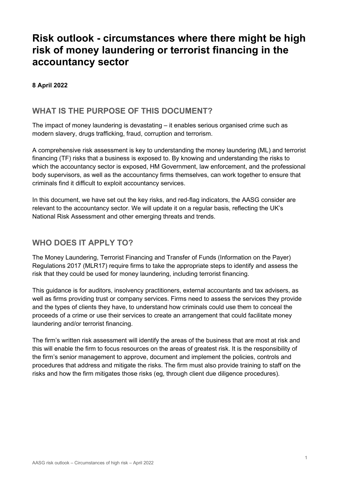# **Risk outlook - circumstances where there might be high risk of money laundering or terrorist financing in the accountancy sector**

### **8 April 2022**

## **WHAT IS THE PURPOSE OF THIS DOCUMENT?**

The impact of money laundering is devastating – it enables serious organised crime such as modern slavery, drugs trafficking, fraud, corruption and terrorism.

A comprehensive risk assessment is key to understanding the money laundering (ML) and terrorist financing (TF) risks that a business is exposed to. By knowing and understanding the risks to which the accountancy sector is exposed, HM Government, law enforcement, and the professional body supervisors, as well as the accountancy firms themselves, can work together to ensure that criminals find it difficult to exploit accountancy services.

In this document, we have set out the key risks, and red-flag indicators, the AASG consider are relevant to the accountancy sector. We will update it on a regular basis, reflecting the UK's National Risk Assessment and other emerging threats and trends.

# **WHO DOES IT APPLY TO?**

The Money Laundering, Terrorist Financing and Transfer of Funds (Information on the Payer) Regulations 2017 (MLR17) require firms to take the appropriate steps to identify and assess the risk that they could be used for money laundering, including terrorist financing.

This guidance is for auditors, insolvency practitioners, external accountants and tax advisers, as well as firms providing trust or company services. Firms need to assess the services they provide and the types of clients they have, to understand how criminals could use them to conceal the proceeds of a crime or use their services to create an arrangement that could facilitate money laundering and/or terrorist financing.

The firm's written risk assessment will identify the areas of the business that are most at risk and this will enable the firm to focus resources on the areas of greatest risk. It is the responsibility of the firm's senior management to approve, document and implement the policies, controls and procedures that address and mitigate the risks. The firm must also provide training to staff on the risks and how the firm mitigates those risks (eg, through client due diligence procedures).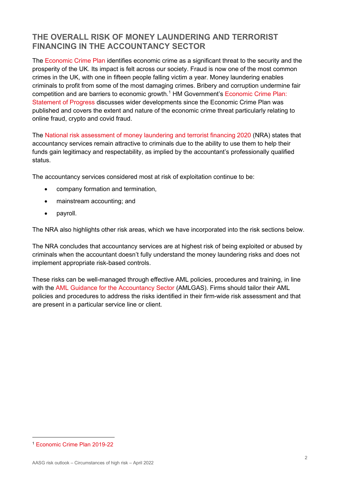# **THE OVERALL RISK OF MONEY LAUNDERING AND TERRORIST FINANCING IN THE ACCOUNTANCY SECTOR**

The [Economic Crime Plan](https://www.gov.uk/government/publications/economic-crime-plan-2019-to-2022) identifies economic crime as a significant threat to the security and the prosperity of the UK. Its impact is felt across our society. Fraud is now one of the most common crimes in the UK, with one in fifteen people falling victim a year. Money laundering enables criminals to profit from some of the most damaging crimes. Bribery and corruption undermine fair competition and are barriers to economic growth.<sup>[1](#page-1-0)</sup> HM Government's Economic Crime Plan: [Statement of Progress](https://assets.publishing.service.gov.uk/government/uploads/system/uploads/attachment_data/file/983251/Economic_Crime_Plan_Statement_of_Progress_May_2021.pdf) discusses wider developments since the Economic Crime Plan was published and covers the extent and nature of the economic crime threat particularly relating to online fraud, crypto and covid fraud.

The National risk assessment [of money laundering and terrorist financing 2020 \(](https://www.gov.uk/government/publications/national-risk-assessment-of-money-laundering-and-terrorist-financing-2020)NRA) states that accountancy services remain attractive to criminals due to the ability to use them to help their funds gain legitimacy and respectability, as implied by the accountant's professionally qualified status.

The accountancy services considered most at risk of exploitation continue to be:

- company formation and termination,
- mainstream accounting; and
- payroll.

The NRA also highlights other risk areas, which we have incorporated into the risk sections below.

The NRA concludes that accountancy services are at highest risk of being exploited or abused by criminals when the accountant doesn't fully understand the money laundering risks and does not implement appropriate risk-based controls.

These risks can be well-managed through effective AML policies, procedures and training, in line with the [AML Guidance for the Accountancy Sector](https://www.ccab.org.uk/anti-money-laundering-guidance-for-the-accountancy-sector/) (AMLGAS). Firms should tailor their AML policies and procedures to address the risks identified in their firm-wide risk assessment and that are present in a particular service line or client.

<span id="page-1-0"></span><sup>1</sup> [Economic Crime Plan 2019-22](https://assets.publishing.service.gov.uk/government/uploads/system/uploads/attachment_data/file/816215/2019-22_Economic_Crime_Plan.pdf)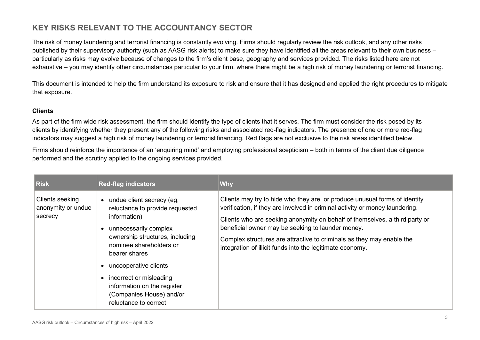# **KEY RISKS RELEVANT TO THE ACCOUNTANCY SECTOR**

The risk of money laundering and terrorist financing is constantly evolving. Firms should regularly review the risk outlook, and any other risks published by their supervisory authority (such as AASG risk alerts) to make sure they have identified all the areas relevant to their own business – particularly as risks may evolve because of changes to the firm's client base, geography and services provided. The risks listed here are not exhaustive – you may identify other circumstances particular to your firm, where there might be a high risk of money laundering or terrorist financing.

This document is intended to help the firm understand its exposure to risk and ensure that it has designed and applied the right procedures to mitigate that exposure.

#### **Clients**

As part of the firm wide risk assessment, the firm should identify the type of clients that it serves. The firm must consider the risk posed by its clients by identifying whether they present any of the following risks and associated red-flag indicators. The presence of one or more red-flag indicators may suggest a high risk of money laundering or terrorist financing. Red flags are not exclusive to the risk areas identified below.

Firms should reinforce the importance of an 'enquiring mind' and employing professional scepticism – both in terms of the client due diligence performed and the scrutiny applied to the ongoing services provided.

| <b>Risk</b>                                      | <b>Red-flag indicators</b>                                                                                                                                                                                                                                                                                                                | <b>Why</b>                                                                                                                                                                                                                                                                                                                                                                                                                           |
|--------------------------------------------------|-------------------------------------------------------------------------------------------------------------------------------------------------------------------------------------------------------------------------------------------------------------------------------------------------------------------------------------------|--------------------------------------------------------------------------------------------------------------------------------------------------------------------------------------------------------------------------------------------------------------------------------------------------------------------------------------------------------------------------------------------------------------------------------------|
| Clients seeking<br>anonymity or undue<br>secrecy | undue client secrecy (eg,<br>$\bullet$<br>reluctance to provide requested<br>information)<br>unnecessarily complex<br>ownership structures, including<br>nominee shareholders or<br>bearer shares<br>uncooperative clients<br>incorrect or misleading<br>information on the register<br>(Companies House) and/or<br>reluctance to correct | Clients may try to hide who they are, or produce unusual forms of identity<br>verification, if they are involved in criminal activity or money laundering.<br>Clients who are seeking anonymity on behalf of themselves, a third party or<br>beneficial owner may be seeking to launder money.<br>Complex structures are attractive to criminals as they may enable the<br>integration of illicit funds into the legitimate economy. |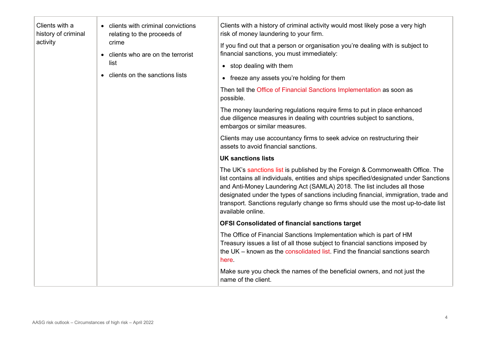| Clients with a<br>history of criminal<br>activity | • clients with criminal convictions<br>relating to the proceeds of<br>crime<br>• clients who are on the terrorist<br>list<br>clients on the sanctions lists | Clients with a history of criminal activity would most likely pose a very high<br>risk of money laundering to your firm.<br>If you find out that a person or organisation you're dealing with is subject to<br>financial sanctions, you must immediately:<br>• stop dealing with them<br>• freeze any assets you're holding for them<br>Then tell the Office of Financial Sanctions Implementation as soon as<br>possible.<br>The money laundering regulations require firms to put in place enhanced<br>due diligence measures in dealing with countries subject to sanctions,<br>embargos or similar measures.<br>Clients may use accountancy firms to seek advice on restructuring their<br>assets to avoid financial sanctions.<br><b>UK sanctions lists</b> |                                                                                                                                                                                                                                                |
|---------------------------------------------------|-------------------------------------------------------------------------------------------------------------------------------------------------------------|------------------------------------------------------------------------------------------------------------------------------------------------------------------------------------------------------------------------------------------------------------------------------------------------------------------------------------------------------------------------------------------------------------------------------------------------------------------------------------------------------------------------------------------------------------------------------------------------------------------------------------------------------------------------------------------------------------------------------------------------------------------|------------------------------------------------------------------------------------------------------------------------------------------------------------------------------------------------------------------------------------------------|
|                                                   |                                                                                                                                                             | The UK's sanctions list is published by the Foreign & Commonwealth Office. The<br>list contains all individuals, entities and ships specified/designated under Sanctions<br>and Anti-Money Laundering Act (SAMLA) 2018. The list includes all those<br>designated under the types of sanctions including financial, immigration, trade and<br>transport. Sanctions regularly change so firms should use the most up-to-date list<br>available online.                                                                                                                                                                                                                                                                                                            |                                                                                                                                                                                                                                                |
|                                                   |                                                                                                                                                             |                                                                                                                                                                                                                                                                                                                                                                                                                                                                                                                                                                                                                                                                                                                                                                  | <b>OFSI Consolidated of financial sanctions target</b>                                                                                                                                                                                         |
|                                                   |                                                                                                                                                             |                                                                                                                                                                                                                                                                                                                                                                                                                                                                                                                                                                                                                                                                                                                                                                  | The Office of Financial Sanctions Implementation which is part of HM<br>Treasury issues a list of all those subject to financial sanctions imposed by<br>the UK – known as the consolidated list. Find the financial sanctions search<br>here. |
|                                                   |                                                                                                                                                             |                                                                                                                                                                                                                                                                                                                                                                                                                                                                                                                                                                                                                                                                                                                                                                  | Make sure you check the names of the beneficial owners, and not just the<br>name of the client.                                                                                                                                                |
|                                                   |                                                                                                                                                             |                                                                                                                                                                                                                                                                                                                                                                                                                                                                                                                                                                                                                                                                                                                                                                  |                                                                                                                                                                                                                                                |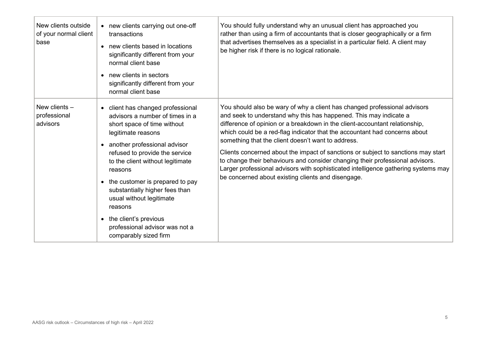| New clients outside<br>of your normal client<br>base | • new clients carrying out one-off<br>transactions<br>new clients based in locations<br>$\bullet$<br>significantly different from your<br>normal client base<br>• new clients in sectors<br>significantly different from your<br>normal client base                                                                                                                                                                                                                    | You should fully understand why an unusual client has approached you<br>rather than using a firm of accountants that is closer geographically or a firm<br>that advertises themselves as a specialist in a particular field. A client may<br>be higher risk if there is no logical rationale.                                                                                                                                                                                                                                                                                                                                                                                       |
|------------------------------------------------------|------------------------------------------------------------------------------------------------------------------------------------------------------------------------------------------------------------------------------------------------------------------------------------------------------------------------------------------------------------------------------------------------------------------------------------------------------------------------|-------------------------------------------------------------------------------------------------------------------------------------------------------------------------------------------------------------------------------------------------------------------------------------------------------------------------------------------------------------------------------------------------------------------------------------------------------------------------------------------------------------------------------------------------------------------------------------------------------------------------------------------------------------------------------------|
| New clients -<br>professional<br>advisors            | • client has changed professional<br>advisors a number of times in a<br>short space of time without<br>legitimate reasons<br>another professional advisor<br>$\bullet$<br>refused to provide the service<br>to the client without legitimate<br>reasons<br>• the customer is prepared to pay<br>substantially higher fees than<br>usual without legitimate<br>reasons<br>the client's previous<br>$\bullet$<br>professional advisor was not a<br>comparably sized firm | You should also be wary of why a client has changed professional advisors<br>and seek to understand why this has happened. This may indicate a<br>difference of opinion or a breakdown in the client-accountant relationship,<br>which could be a red-flag indicator that the accountant had concerns about<br>something that the client doesn't want to address.<br>Clients concerned about the impact of sanctions or subject to sanctions may start<br>to change their behaviours and consider changing their professional advisors.<br>Larger professional advisors with sophisticated intelligence gathering systems may<br>be concerned about existing clients and disengage. |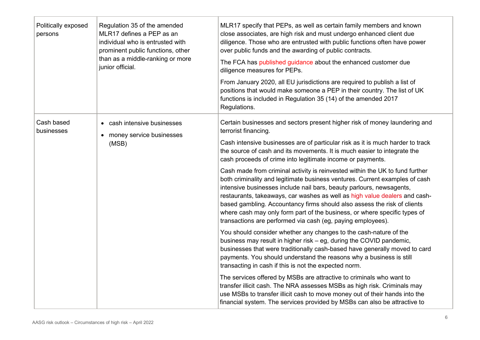| Politically exposed<br>persons | Regulation 35 of the amended<br>MLR17 defines a PEP as an<br>individual who is entrusted with<br>prominent public functions, other<br>than as a middle-ranking or more<br>junior official. | MLR17 specify that PEPs, as well as certain family members and known<br>close associates, are high risk and must undergo enhanced client due<br>diligence. Those who are entrusted with public functions often have power<br>over public funds and the awarding of public contracts.<br>The FCA has published guidance about the enhanced customer due<br>diligence measures for PEPs.<br>From January 2020, all EU jurisdictions are required to publish a list of<br>positions that would make someone a PEP in their country. The list of UK<br>functions is included in Regulation 35 (14) of the amended 2017<br>Regulations.                                                                                                                                                                                                                                          |
|--------------------------------|--------------------------------------------------------------------------------------------------------------------------------------------------------------------------------------------|-----------------------------------------------------------------------------------------------------------------------------------------------------------------------------------------------------------------------------------------------------------------------------------------------------------------------------------------------------------------------------------------------------------------------------------------------------------------------------------------------------------------------------------------------------------------------------------------------------------------------------------------------------------------------------------------------------------------------------------------------------------------------------------------------------------------------------------------------------------------------------|
| Cash based<br>businesses       | • cash intensive businesses<br>• money service businesses<br>(MSB)                                                                                                                         | Certain businesses and sectors present higher risk of money laundering and<br>terrorist financing.<br>Cash intensive businesses are of particular risk as it is much harder to track<br>the source of cash and its movements. It is much easier to integrate the<br>cash proceeds of crime into legitimate income or payments.<br>Cash made from criminal activity is reinvested within the UK to fund further<br>both criminality and legitimate business ventures. Current examples of cash<br>intensive businesses include nail bars, beauty parlours, newsagents,<br>restaurants, takeaways, car washes as well as high value dealers and cash-<br>based gambling. Accountancy firms should also assess the risk of clients<br>where cash may only form part of the business, or where specific types of<br>transactions are performed via cash (eg, paying employees). |
|                                |                                                                                                                                                                                            | You should consider whether any changes to the cash-nature of the<br>business may result in higher risk - eg, during the COVID pandemic,<br>businesses that were traditionally cash-based have generally moved to card<br>payments. You should understand the reasons why a business is still<br>transacting in cash if this is not the expected norm.<br>The services offered by MSBs are attractive to criminals who want to<br>transfer illicit cash. The NRA assesses MSBs as high risk. Criminals may<br>use MSBs to transfer illicit cash to move money out of their hands into the<br>financial system. The services provided by MSBs can also be attractive to                                                                                                                                                                                                      |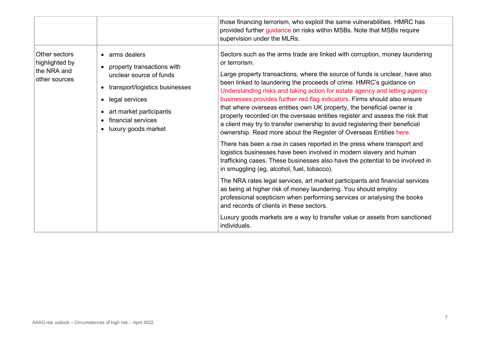|                                                                 |                                                                                                                                                                                                                                                       | those financing terrorism, who exploit the same vulnerabilities. HMRC has<br>provided further guidance on risks within MSBs. Note that MSBs require<br>supervision under the MLRs.                                                                                                                                                                                                                                                                                                                                                                                                                                                                                                                                                                                                                                                                                                                                                                                                                                                                                                                                                                                                                                                                                                                                                                                                     |
|-----------------------------------------------------------------|-------------------------------------------------------------------------------------------------------------------------------------------------------------------------------------------------------------------------------------------------------|----------------------------------------------------------------------------------------------------------------------------------------------------------------------------------------------------------------------------------------------------------------------------------------------------------------------------------------------------------------------------------------------------------------------------------------------------------------------------------------------------------------------------------------------------------------------------------------------------------------------------------------------------------------------------------------------------------------------------------------------------------------------------------------------------------------------------------------------------------------------------------------------------------------------------------------------------------------------------------------------------------------------------------------------------------------------------------------------------------------------------------------------------------------------------------------------------------------------------------------------------------------------------------------------------------------------------------------------------------------------------------------|
| Other sectors<br>highlighted by<br>the NRA and<br>other sources | arms dealers<br>$\bullet$<br>property transactions with<br>$\bullet$<br>unclear source of funds<br>transport/logistics businesses<br>$\bullet$<br>legal services<br>$\bullet$<br>art market participants<br>financial services<br>luxury goods market | Sectors such as the arms trade are linked with corruption, money laundering<br>or terrorism.<br>Large property transactions, where the source of funds is unclear, have also<br>been linked to laundering the proceeds of crime. HMRC's guidance on<br>Understanding risks and taking action for estate agency and letting agency<br>businesses provides further red flag indicators. Firms should also ensure<br>that where overseas entities own UK property, the beneficial owner is<br>properly recorded on the overseas entities register and assess the risk that<br>a client may try to transfer ownership to avoid registering their beneficial<br>ownership. Read more about the Register of Overseas Entities here.<br>There has been a rise in cases reported in the press where transport and<br>logistics businesses have been involved in modern slavery and human<br>trafficking cases. These businesses also have the potential to be involved in<br>in smuggling (eg, alcohol, fuel, tobacco).<br>The NRA rates legal services, art market participants and financial services<br>as being at higher risk of money laundering. You should employ<br>professional scepticism when performing services or analysing the books<br>and records of clients in these sectors.<br>Luxury goods markets are a way to transfer value or assets from sanctioned<br>individuals. |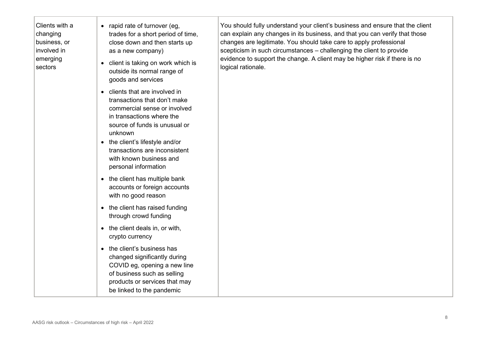| Clients with a<br>changing<br>business, or<br>involved in<br>emerging<br>sectors | • rapid rate of turnover (eg,<br>trades for a short period of time,<br>close down and then starts up<br>as a new company)<br>client is taking on work which is<br>$\bullet$<br>outside its normal range of<br>goods and services                                                                          | You should fully understand your client's business and ensure that the client<br>can explain any changes in its business, and that you can verify that those<br>changes are legitimate. You should take care to apply professional<br>scepticism in such circumstances - challenging the client to provide<br>evidence to support the change. A client may be higher risk if there is no<br>logical rationale. |
|----------------------------------------------------------------------------------|-----------------------------------------------------------------------------------------------------------------------------------------------------------------------------------------------------------------------------------------------------------------------------------------------------------|----------------------------------------------------------------------------------------------------------------------------------------------------------------------------------------------------------------------------------------------------------------------------------------------------------------------------------------------------------------------------------------------------------------|
|                                                                                  | • clients that are involved in<br>transactions that don't make<br>commercial sense or involved<br>in transactions where the<br>source of funds is unusual or<br>unknown<br>the client's lifestyle and/or<br>$\bullet$<br>transactions are inconsistent<br>with known business and<br>personal information |                                                                                                                                                                                                                                                                                                                                                                                                                |
|                                                                                  | the client has multiple bank<br>accounts or foreign accounts<br>with no good reason                                                                                                                                                                                                                       |                                                                                                                                                                                                                                                                                                                                                                                                                |
|                                                                                  | • the client has raised funding<br>through crowd funding                                                                                                                                                                                                                                                  |                                                                                                                                                                                                                                                                                                                                                                                                                |
|                                                                                  | the client deals in, or with,<br>crypto currency                                                                                                                                                                                                                                                          |                                                                                                                                                                                                                                                                                                                                                                                                                |
|                                                                                  | • the client's business has<br>changed significantly during<br>COVID eg, opening a new line<br>of business such as selling<br>products or services that may<br>be linked to the pandemic                                                                                                                  |                                                                                                                                                                                                                                                                                                                                                                                                                |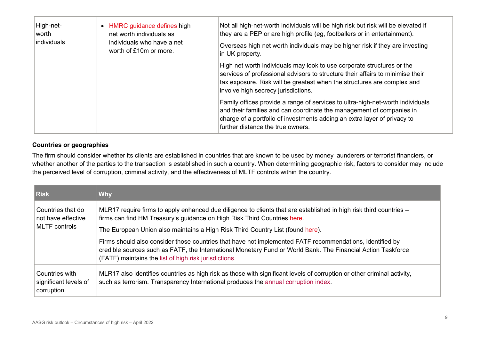| High-net-<br>worth<br>individuals | HMRC guidance defines high<br>net worth individuals as<br>individuals who have a net | Not all high-net-worth individuals will be high risk but risk will be elevated if<br>they are a PEP or are high profile (eg, footballers or in entertainment).<br>Overseas high net worth individuals may be higher risk if they are investing<br>in UK property.          |
|-----------------------------------|--------------------------------------------------------------------------------------|----------------------------------------------------------------------------------------------------------------------------------------------------------------------------------------------------------------------------------------------------------------------------|
|                                   | worth of £10m or more.                                                               |                                                                                                                                                                                                                                                                            |
|                                   |                                                                                      | High net worth individuals may look to use corporate structures or the<br>services of professional advisors to structure their affairs to minimise their<br>tax exposure. Risk will be greatest when the structures are complex and<br>involve high secrecy jurisdictions. |
|                                   |                                                                                      | Family offices provide a range of services to ultra-high-net-worth individuals<br>and their families and can coordinate the management of companies in<br>charge of a portfolio of investments adding an extra layer of privacy to<br>further distance the true owners.    |

### **Countries or geographies**

The firm should consider whether its clients are established in countries that are known to be used by money launderers or terrorist financiers, or whether another of the parties to the transaction is established in such a country. When determining geographic risk, factors to consider may include the perceived level of corruption, criminal activity, and the effectiveness of MLTF controls within the country.

| <b>Risk</b>                                           | <b>Why</b>                                                                                                                                                                                                                                                                        |
|-------------------------------------------------------|-----------------------------------------------------------------------------------------------------------------------------------------------------------------------------------------------------------------------------------------------------------------------------------|
| Countries that do<br>not have effective               | MLR17 require firms to apply enhanced due diligence to clients that are established in high risk third countries –<br>firms can find HM Treasury's guidance on High Risk Third Countries here.                                                                                    |
| <b>MLTF</b> controls                                  | The European Union also maintains a High Risk Third Country List (found here).                                                                                                                                                                                                    |
|                                                       | Firms should also consider those countries that have not implemented FATF recommendations, identified by<br>credible sources such as FATF, the International Monetary Fund or World Bank. The Financial Action Taskforce<br>(FATF) maintains the list of high risk jurisdictions. |
| Countries with<br>significant levels of<br>corruption | MLR17 also identifies countries as high risk as those with significant levels of corruption or other criminal activity,<br>such as terrorism. Transparency International produces the annual corruption index.                                                                    |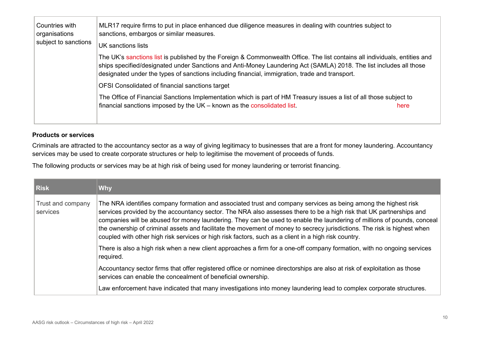| Countries with<br>organisations<br>subject to sanctions | MLR17 require firms to put in place enhanced due diligence measures in dealing with countries subject to<br>sanctions, embargos or similar measures.<br>UK sanctions lists                                                                                                                                                                         |  |
|---------------------------------------------------------|----------------------------------------------------------------------------------------------------------------------------------------------------------------------------------------------------------------------------------------------------------------------------------------------------------------------------------------------------|--|
|                                                         | The UK's sanctions list is published by the Foreign & Commonwealth Office. The list contains all individuals, entities and<br>ships specified/designated under Sanctions and Anti-Money Laundering Act (SAMLA) 2018. The list includes all those<br>designated under the types of sanctions including financial, immigration, trade and transport. |  |
|                                                         | OFSI Consolidated of financial sanctions target                                                                                                                                                                                                                                                                                                    |  |
|                                                         | The Office of Financial Sanctions Implementation which is part of HM Treasury issues a list of all those subject to                                                                                                                                                                                                                                |  |
|                                                         | financial sanctions imposed by the $UK -$ known as the consolidated list.<br>here                                                                                                                                                                                                                                                                  |  |
|                                                         |                                                                                                                                                                                                                                                                                                                                                    |  |

#### **Products or services**

Criminals are attracted to the accountancy sector as a way of giving legitimacy to businesses that are a front for money laundering. Accountancy services may be used to create corporate structures or help to legitimise the movement of proceeds of funds.

The following products or services may be at high risk of being used for money laundering or terrorist financing.

| <b>Risk</b>                   | <b>Why</b>                                                                                                                                                                                                                                                                                                                                                                                                                                                                                                                                                                                           |
|-------------------------------|------------------------------------------------------------------------------------------------------------------------------------------------------------------------------------------------------------------------------------------------------------------------------------------------------------------------------------------------------------------------------------------------------------------------------------------------------------------------------------------------------------------------------------------------------------------------------------------------------|
| Trust and company<br>services | The NRA identifies company formation and associated trust and company services as being among the highest risk<br>services provided by the accountancy sector. The NRA also assesses there to be a high risk that UK partnerships and<br>companies will be abused for money laundering. They can be used to enable the laundering of millions of pounds, conceal<br>the ownership of criminal assets and facilitate the movement of money to secrecy jurisdictions. The risk is highest when<br>coupled with other high risk services or high risk factors, such as a client in a high risk country. |
|                               | There is also a high risk when a new client approaches a firm for a one-off company formation, with no ongoing services<br>required.                                                                                                                                                                                                                                                                                                                                                                                                                                                                 |
|                               | Accountancy sector firms that offer registered office or nominee directorships are also at risk of exploitation as those<br>services can enable the concealment of beneficial ownership.                                                                                                                                                                                                                                                                                                                                                                                                             |
|                               | Law enforcement have indicated that many investigations into money laundering lead to complex corporate structures.                                                                                                                                                                                                                                                                                                                                                                                                                                                                                  |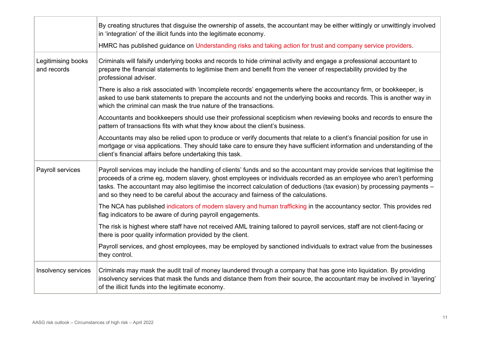|                                   | By creating structures that disguise the ownership of assets, the accountant may be either wittingly or unwittingly involved<br>in 'integration' of the illicit funds into the legitimate economy.                                                                                                                                                                                                                                                                    |
|-----------------------------------|-----------------------------------------------------------------------------------------------------------------------------------------------------------------------------------------------------------------------------------------------------------------------------------------------------------------------------------------------------------------------------------------------------------------------------------------------------------------------|
|                                   | HMRC has published guidance on Understanding risks and taking action for trust and company service providers.                                                                                                                                                                                                                                                                                                                                                         |
| Legitimising books<br>and records | Criminals will falsify underlying books and records to hide criminal activity and engage a professional accountant to<br>prepare the financial statements to legitimise them and benefit from the veneer of respectability provided by the<br>professional adviser.                                                                                                                                                                                                   |
|                                   | There is also a risk associated with 'incomplete records' engagements where the accountancy firm, or bookkeeper, is<br>asked to use bank statements to prepare the accounts and not the underlying books and records. This is another way in<br>which the criminal can mask the true nature of the transactions.                                                                                                                                                      |
|                                   | Accountants and bookkeepers should use their professional scepticism when reviewing books and records to ensure the<br>pattern of transactions fits with what they know about the client's business.                                                                                                                                                                                                                                                                  |
|                                   | Accountants may also be relied upon to produce or verify documents that relate to a client's financial position for use in<br>mortgage or visa applications. They should take care to ensure they have sufficient information and understanding of the<br>client's financial affairs before undertaking this task.                                                                                                                                                    |
| Payroll services                  | Payroll services may include the handling of clients' funds and so the accountant may provide services that legitimise the<br>proceeds of a crime eg, modern slavery, ghost employees or individuals recorded as an employee who aren't performing<br>tasks. The accountant may also legitimise the incorrect calculation of deductions (tax evasion) by processing payments -<br>and so they need to be careful about the accuracy and fairness of the calculations. |
|                                   | The NCA has published indicators of modern slavery and human trafficking in the accountancy sector. This provides red<br>flag indicators to be aware of during payroll engagements.                                                                                                                                                                                                                                                                                   |
|                                   | The risk is highest where staff have not received AML training tailored to payroll services, staff are not client-facing or<br>there is poor quality information provided by the client.                                                                                                                                                                                                                                                                              |
|                                   | Payroll services, and ghost employees, may be employed by sanctioned individuals to extract value from the businesses<br>they control.                                                                                                                                                                                                                                                                                                                                |
| Insolvency services               | Criminals may mask the audit trail of money laundered through a company that has gone into liquidation. By providing<br>insolvency services that mask the funds and distance them from their source, the accountant may be involved in 'layering'<br>of the illicit funds into the legitimate economy.                                                                                                                                                                |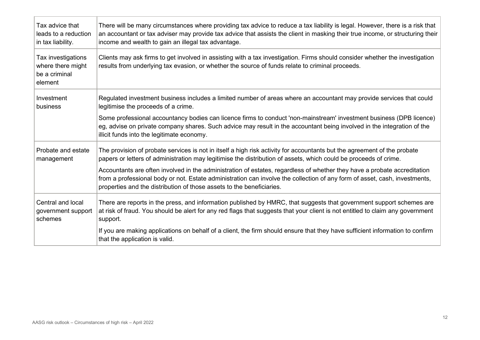| Tax advice that                                                     | There will be many circumstances where providing tax advice to reduce a tax liability is legal. However, there is a risk that                                                                                                                                                                                                   |
|---------------------------------------------------------------------|---------------------------------------------------------------------------------------------------------------------------------------------------------------------------------------------------------------------------------------------------------------------------------------------------------------------------------|
| leads to a reduction                                                | an accountant or tax adviser may provide tax advice that assists the client in masking their true income, or structuring their                                                                                                                                                                                                  |
| in tax liability.                                                   | income and wealth to gain an illegal tax advantage.                                                                                                                                                                                                                                                                             |
| Tax investigations<br>where there might<br>be a criminal<br>element | Clients may ask firms to get involved in assisting with a tax investigation. Firms should consider whether the investigation<br>results from underlying tax evasion, or whether the source of funds relate to criminal proceeds.                                                                                                |
| Investment                                                          | Regulated investment business includes a limited number of areas where an accountant may provide services that could                                                                                                                                                                                                            |
| business                                                            | legitimise the proceeds of a crime.                                                                                                                                                                                                                                                                                             |
|                                                                     | Some professional accountancy bodies can licence firms to conduct 'non-mainstream' investment business (DPB licence)<br>eg, advise on private company shares. Such advice may result in the accountant being involved in the integration of the<br>illicit funds into the legitimate economy.                                   |
| Probate and estate                                                  | The provision of probate services is not in itself a high risk activity for accountants but the agreement of the probate                                                                                                                                                                                                        |
| management                                                          | papers or letters of administration may legitimise the distribution of assets, which could be proceeds of crime.                                                                                                                                                                                                                |
|                                                                     | Accountants are often involved in the administration of estates, regardless of whether they have a probate accreditation<br>from a professional body or not. Estate administration can involve the collection of any form of asset, cash, investments,<br>properties and the distribution of those assets to the beneficiaries. |
| Central and local                                                   | There are reports in the press, and information published by HMRC, that suggests that government support schemes are                                                                                                                                                                                                            |
| government support                                                  | at risk of fraud. You should be alert for any red flags that suggests that your client is not entitled to claim any government                                                                                                                                                                                                  |
| schemes                                                             | support.                                                                                                                                                                                                                                                                                                                        |
|                                                                     | If you are making applications on behalf of a client, the firm should ensure that they have sufficient information to confirm<br>that the application is valid.                                                                                                                                                                 |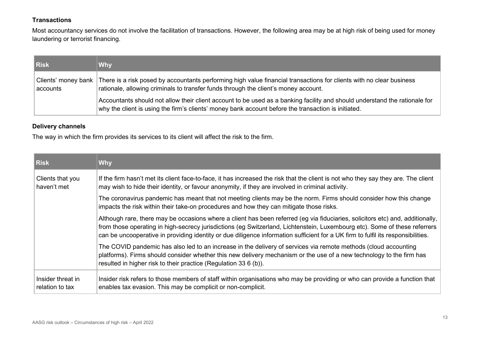### **Transactions**

Most accountancy services do not involve the facilitation of transactions. However, the following area may be at high risk of being used for money laundering or terrorist financing.

| <b>Risk</b>                       | <b>Why</b>                                                                                                                                                                                                                        |
|-----------------------------------|-----------------------------------------------------------------------------------------------------------------------------------------------------------------------------------------------------------------------------------|
| Clients' money bank  <br>accounts | There is a risk posed by accountants performing high value financial transactions for clients with no clear business<br>rationale, allowing criminals to transfer funds through the client's money account.                       |
|                                   | Accountants should not allow their client account to be used as a banking facility and should understand the rationale for<br>why the client is using the firm's clients' money bank account before the transaction is initiated. |

### **Delivery channels**

The way in which the firm provides its services to its client will affect the risk to the firm.

| <b>Risk</b>                          | <b>Why</b>                                                                                                                                                                                                                                                                                                                                                                                       |
|--------------------------------------|--------------------------------------------------------------------------------------------------------------------------------------------------------------------------------------------------------------------------------------------------------------------------------------------------------------------------------------------------------------------------------------------------|
| Clients that you<br>haven't met      | If the firm hasn't met its client face-to-face, it has increased the risk that the client is not who they say they are. The client<br>may wish to hide their identity, or favour anonymity, if they are involved in criminal activity.                                                                                                                                                           |
|                                      | The coronavirus pandemic has meant that not meeting clients may be the norm. Firms should consider how this change<br>impacts the risk within their take-on procedures and how they can mitigate those risks.                                                                                                                                                                                    |
|                                      | Although rare, there may be occasions where a client has been referred (eg via fiduciaries, solicitors etc) and, additionally,<br>from those operating in high-secrecy jurisdictions (eg Switzerland, Lichtenstein, Luxembourg etc). Some of these referrers<br>can be uncooperative in providing identity or due diligence information sufficient for a UK firm to fulfil its responsibilities. |
|                                      | The COVID pandemic has also led to an increase in the delivery of services via remote methods (cloud accounting<br>platforms). Firms should consider whether this new delivery mechanism or the use of a new technology to the firm has<br>resulted in higher risk to their practice (Regulation 33 6 (b)).                                                                                      |
| Insider threat in<br>relation to tax | Insider risk refers to those members of staff within organisations who may be providing or who can provide a function that<br>enables tax evasion. This may be complicit or non-complicit.                                                                                                                                                                                                       |